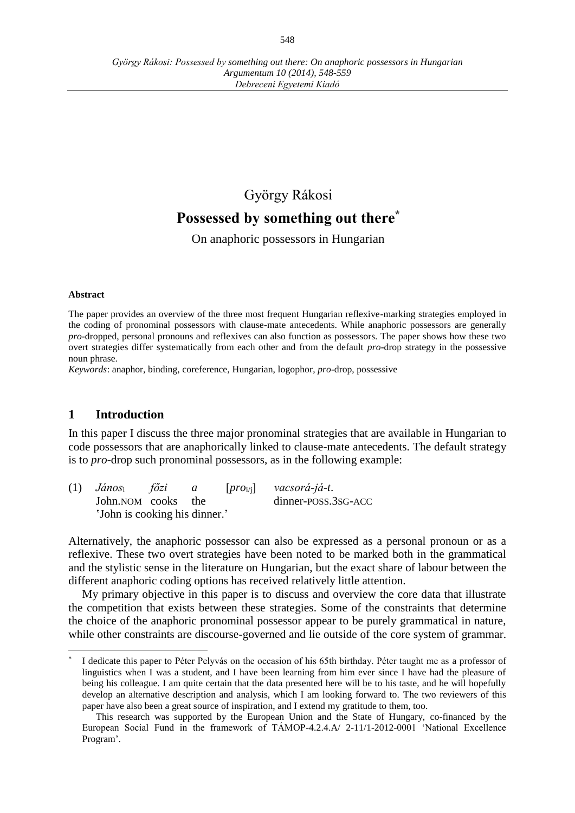# György Rákosi **Possessed by something out there\***

On anaphoric possessors in Hungarian

#### **Abstract**

The paper provides an overview of the three most frequent Hungarian reflexive-marking strategies employed in the coding of pronominal possessors with clause-mate antecedents. While anaphoric possessors are generally *pro*-dropped, personal pronouns and reflexives can also function as possessors. The paper shows how these two overt strategies differ systematically from each other and from the default *pro*-drop strategy in the possessive noun phrase.

*Keywords*: anaphor, binding, coreference, Hungarian, logophor, *pro*-drop, possessive

#### **1 Introduction**

In this paper I discuss the three major pronominal strategies that are available in Hungarian to code possessors that are anaphorically linked to clause-mate antecedents. The default strategy is to *pro*-drop such pronominal possessors, as in the following example:

| $(1)$ János <sub>i</sub> főzi |  | $\overline{a}$ |  | $[pro_{i/i}]$ vacsorá-já-t. |
|-------------------------------|--|----------------|--|-----------------------------|
| John.NOM cooks the            |  |                |  | dinner-POSS.3SG-ACC         |
| 'John is cooking his dinner.' |  |                |  |                             |

Alternatively, the anaphoric possessor can also be expressed as a personal pronoun or as a reflexive. These two overt strategies have been noted to be marked both in the grammatical and the stylistic sense in the literature on Hungarian, but the exact share of labour between the different anaphoric coding options has received relatively little attention.

My primary objective in this paper is to discuss and overview the core data that illustrate the competition that exists between these strategies. Some of the constraints that determine the choice of the anaphoric pronominal possessor appear to be purely grammatical in nature, while other constraints are discourse-governed and lie outside of the core system of grammar.

 $\overline{a}$ \* I dedicate this paper to Péter Pelyvás on the occasion of his 65th birthday. Péter taught me as a professor of linguistics when I was a student, and I have been learning from him ever since I have had the pleasure of being his colleague. I am quite certain that the data presented here will be to his taste, and he will hopefully develop an alternative description and analysis, which I am looking forward to. The two reviewers of this paper have also been a great source of inspiration, and I extend my gratitude to them, too.

This research was supported by the European Union and the State of Hungary, co-financed by the European Social Fund in the framework of TÁMOP-4.2.4.A/ 2-11/1-2012-0001 'National Excellence Program'.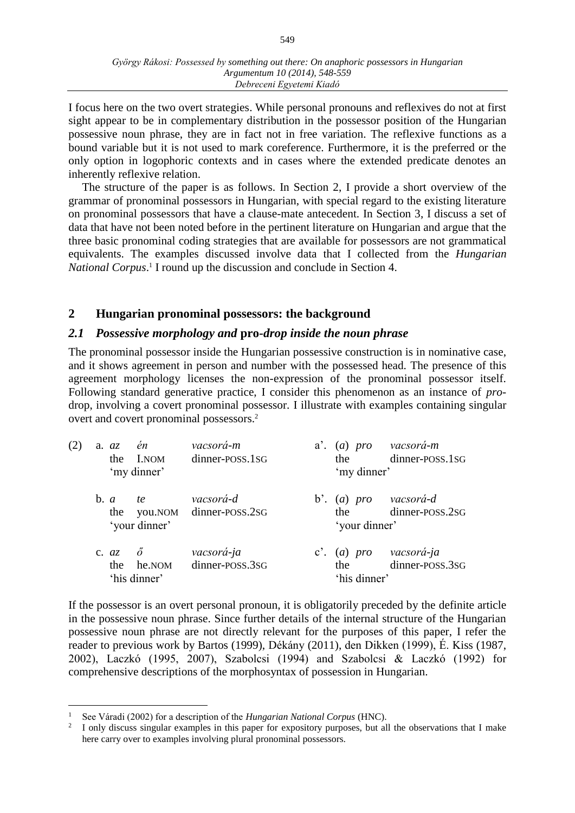I focus here on the two overt strategies. While personal pronouns and reflexives do not at first sight appear to be in complementary distribution in the possessor position of the Hungarian possessive noun phrase, they are in fact not in free variation. The reflexive functions as a bound variable but it is not used to mark coreference. Furthermore, it is the preferred or the only option in logophoric contexts and in cases where the extended predicate denotes an inherently reflexive relation.

The structure of the paper is as follows. In Section 2, I provide a short overview of the grammar of pronominal possessors in Hungarian, with special regard to the existing literature on pronominal possessors that have a clause-mate antecedent. In Section 3, I discuss a set of data that have not been noted before in the pertinent literature on Hungarian and argue that the three basic pronominal coding strategies that are available for possessors are not grammatical equivalents. The examples discussed involve data that I collected from the *Hungarian National Corpus*. 1 I round up the discussion and conclude in Section 4.

## **2 Hungarian pronominal possessors: the background**

#### *2.1 Possessive morphology and* **pro***-drop inside the noun phrase*

The pronominal possessor inside the Hungarian possessive construction is in nominative case, and it shows agreement in person and number with the possessed head. The presence of this agreement morphology licenses the non-expression of the pronominal possessor itself. Following standard generative practice, I consider this phenomenon as an instance of *pro*drop, involving a covert pronominal possessor. I illustrate with examples containing singular overt and covert pronominal possessors. 2

| (2) | én<br>$a. \, az.$<br>I.NOM<br>the<br>'my dinner' |                            | vacsorá-m<br>dinner-POSS.1SG         |  | a'. (a) pro vacsorá-m<br>dinner-POSS.1SG<br>the<br>'my dinner' |                                           |
|-----|--------------------------------------------------|----------------------------|--------------------------------------|--|----------------------------------------------------------------|-------------------------------------------|
|     | $\mathbf{b}$ . $a$<br>the                        | <i>te</i><br>'your dinner' | vacsorá-d<br>you.NOM dinner-POSS.2SG |  | b'. (a) pro vacsorá-d<br>the<br>'your dinner'                  | dinner-POSS.2SG                           |
|     | c. $az \quad \delta$<br>the                      | he.NOM<br>'his dinner'     | vacsorá-ja<br>dinner-poss.3sG        |  | the<br>'his dinner'                                            | c'. (a) pro vacsorá-ja<br>dinner-POSS.3SG |

If the possessor is an overt personal pronoun, it is obligatorily preceded by the definite article in the possessive noun phrase. Since further details of the internal structure of the Hungarian possessive noun phrase are not directly relevant for the purposes of this paper, I refer the reader to previous work by Bartos (1999), Dékány (2011), den Dikken (1999), É. Kiss (1987, 2002), Laczkó (1995, 2007), Szabolcsi (1994) and Szabolcsi & Laczkó (1992) for comprehensive descriptions of the morphosyntax of possession in Hungarian.

 $\overline{a}$ 

<sup>1</sup> See Váradi (2002) for a description of the *Hungarian National Corpus* (HNC).

<sup>2</sup> I only discuss singular examples in this paper for expository purposes, but all the observations that I make here carry over to examples involving plural pronominal possessors.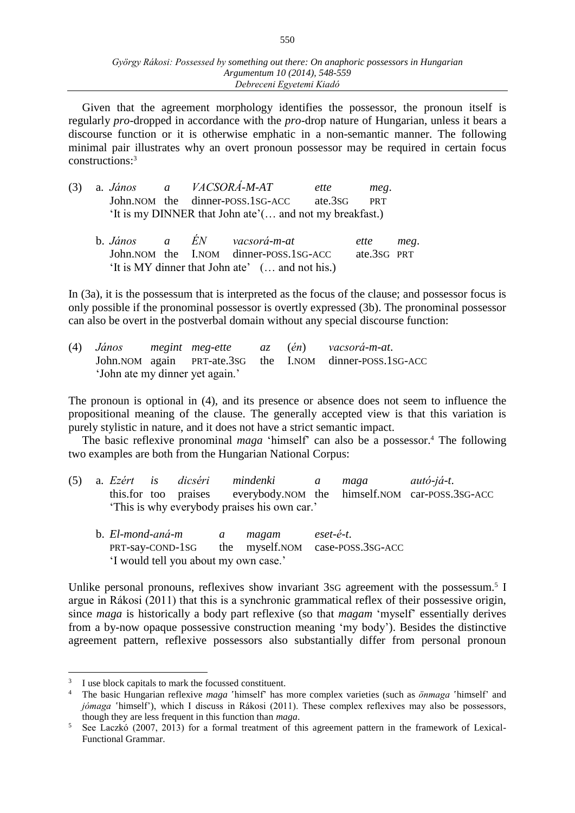Given that the agreement morphology identifies the possessor, the pronoun itself is regularly *pro*-dropped in accordance with the *pro*-drop nature of Hungarian, unless it bears a discourse function or it is otherwise emphatic in a non-semantic manner. The following minimal pair illustrates why an overt pronoun possessor may be required in certain focus constructions:<sup>3</sup>

|  | $(3)$ a. <i>János a</i> | <i>VACSORÁ-M-AT</i>                                     | ette | meg. |
|--|-------------------------|---------------------------------------------------------|------|------|
|  |                         | John. NOM the dinner-POSS. 1SG-ACC ate. 3SG PRT         |      |      |
|  |                         | 'It is my DINNER that John ate'( and not my breakfast.) |      |      |

|  |  | b. János a EN vacsorá-m-at                      | ette meg.   |  |
|--|--|-------------------------------------------------|-------------|--|
|  |  | John. NOM the I.NOM dinner-POSS. 1SG-ACC        | ate.3sG PRT |  |
|  |  | 'It is MY dinner that John ate' ( and not his.) |             |  |

In (3a), it is the possessum that is interpreted as the focus of the clause; and possessor focus is only possible if the pronominal possessor is overtly expressed (3b). The pronominal possessor can also be overt in the postverbal domain without any special discourse function:

| (4) |  |                                 |  | János megint meg-ette az (én) vacsorá-m-at.                  |
|-----|--|---------------------------------|--|--------------------------------------------------------------|
|     |  |                                 |  | John. NOM again PRT-ate. 3sG the I. NOM dinner-POSS. 1SG-ACC |
|     |  | 'John ate my dinner yet again.' |  |                                                              |

The pronoun is optional in (4), and its presence or absence does not seem to influence the propositional meaning of the clause. The generally accepted view is that this variation is purely stylistic in nature, and it does not have a strict semantic impact.

The basic reflexive pronominal *maga* 'himself' can also be a possessor.<sup>4</sup> The following two examples are both from the Hungarian National Corpus:

- (5) a. *Ezért is dicséri mindenki a maga autó-já-t*. this.for too praises everybody.NOM the himself.NOM car-POSS.3SG-ACC 'This is why everybody praises his own car.'
	- b. *El-mond-aná-m a magam eset-é-t*. PRT-say-COND-1SG the myself.NOM case-POSS.3SG-ACC 'I would tell you about my own case.'

Unlike personal pronouns, reflexives show invariant 3sG agreement with the possessum.<sup>5</sup> I argue in Rákosi (2011) that this is a synchronic grammatical reflex of their possessive origin, since *maga* is historically a body part reflexive (so that *magam* 'myself' essentially derives from a by-now opaque possessive construction meaning 'my body'). Besides the distinctive agreement pattern, reflexive possessors also substantially differ from personal pronoun

 $\overline{a}$ 

<sup>3</sup> I use block capitals to mark the focussed constituent.

<sup>4</sup> The basic Hungarian reflexive *maga* 'himself' has more complex varieties (such as *önmaga* 'himself' and *jómaga* 'himself'), which I discuss in Rákosi (2011). These complex reflexives may also be possessors, though they are less frequent in this function than *maga*.

<sup>&</sup>lt;sup>5</sup> See Laczkó (2007, 2013) for a formal treatment of this agreement pattern in the framework of Lexical-Functional Grammar.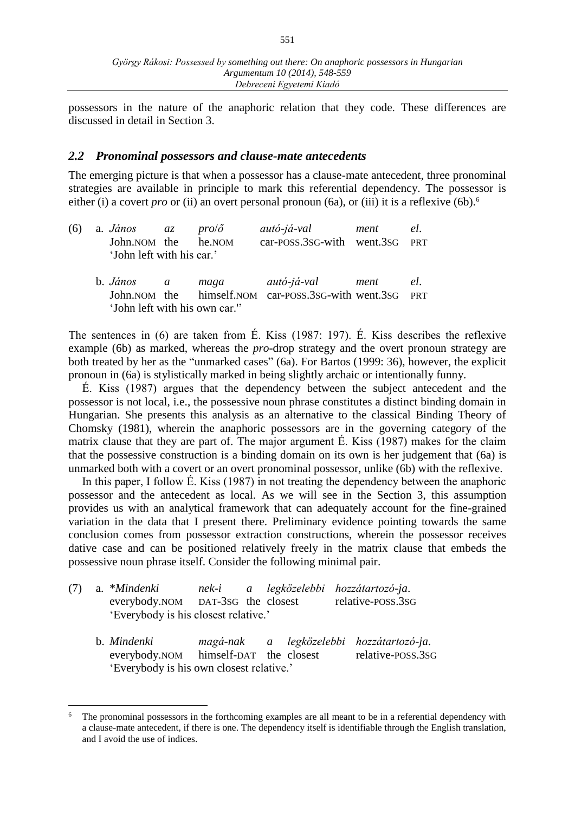possessors in the nature of the anaphoric relation that they code. These differences are discussed in detail in Section 3.

#### *2.2 Pronominal possessors and clause-mate antecedents*

The emerging picture is that when a possessor has a clause-mate antecedent, three pronominal strategies are available in principle to mark this referential dependency. The possessor is either (i) a covert *pro* or (ii) an overt personal pronoun (6a), or (iii) it is a reflexive (6b).<sup>6</sup>

|                           | (6) a. <i>János az pro/ő</i> |  | autó-já-val                    | ment | el. |
|---------------------------|------------------------------|--|--------------------------------|------|-----|
|                           | John.NOM the he.NOM          |  | car-POSS.3SG-with went.3SG PRT |      |     |
| 'John left with his car.' |                              |  |                                |      |     |

| b. <i>János</i>               | $\overline{a}$ | maga | autó-já-val                                                 | ment | el. |
|-------------------------------|----------------|------|-------------------------------------------------------------|------|-----|
|                               |                |      | John. NOM the himself. NOM car-POSS. 3SG-with went. 3SG PRT |      |     |
| 'John left with his own car." |                |      |                                                             |      |     |

The sentences in (6) are taken from É. Kiss (1987: 197). É. Kiss describes the reflexive example (6b) as marked, whereas the *pro*-drop strategy and the overt pronoun strategy are both treated by her as the "unmarked cases" (6a). For Bartos (1999: 36), however, the explicit pronoun in (6a) is stylistically marked in being slightly archaic or intentionally funny.

É. Kiss (1987) argues that the dependency between the subject antecedent and the possessor is not local, i.e., the possessive noun phrase constitutes a distinct binding domain in Hungarian. She presents this analysis as an alternative to the classical Binding Theory of Chomsky (1981), wherein the anaphoric possessors are in the governing category of the matrix clause that they are part of. The major argument É. Kiss (1987) makes for the claim that the possessive construction is a binding domain on its own is her judgement that (6a) is unmarked both with a covert or an overt pronominal possessor, unlike (6b) with the reflexive.

In this paper, I follow É. Kiss (1987) in not treating the dependency between the anaphoric possessor and the antecedent as local. As we will see in the Section 3, this assumption provides us with an analytical framework that can adequately account for the fine-grained variation in the data that I present there. Preliminary evidence pointing towards the same conclusion comes from possessor extraction constructions, wherein the possessor receives dative case and can be positioned relatively freely in the matrix clause that embeds the possessive noun phrase itself. Consider the following minimal pair.

| (7) | a. *Mindenki                         |  |  |  | nek-i a legközelebbi hozzátartozó-ja. |  |  |  |  |
|-----|--------------------------------------|--|--|--|---------------------------------------|--|--|--|--|
|     | everybody.NOM DAT-3sG the closest    |  |  |  | relative-POSS.3SG                     |  |  |  |  |
|     | 'Everybody is his closest relative.' |  |  |  |                                       |  |  |  |  |

 $\overline{a}$ 

b. *Mindenki magá-nak a legközelebbi hozzátartozó-ja*. everybody.NOM himself-DAT the closest relative-POSS.3SG 'Everybody is his own closest relative.'

<sup>6</sup> The pronominal possessors in the forthcoming examples are all meant to be in a referential dependency with a clause-mate antecedent, if there is one. The dependency itself is identifiable through the English translation, and I avoid the use of indices.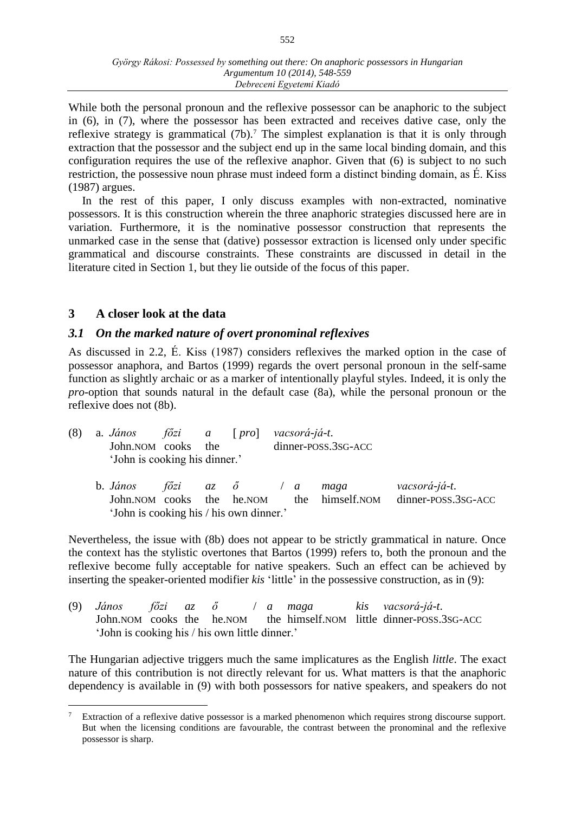While both the personal pronoun and the reflexive possessor can be anaphoric to the subject in (6), in (7), where the possessor has been extracted and receives dative case, only the reflexive strategy is grammatical  $(7b)$ .<sup>7</sup> The simplest explanation is that it is only through extraction that the possessor and the subject end up in the same local binding domain, and this configuration requires the use of the reflexive anaphor. Given that (6) is subject to no such restriction, the possessive noun phrase must indeed form a distinct binding domain, as É. Kiss (1987) argues.

In the rest of this paper, I only discuss examples with non-extracted, nominative possessors. It is this construction wherein the three anaphoric strategies discussed here are in variation. Furthermore, it is the nominative possessor construction that represents the unmarked case in the sense that (dative) possessor extraction is licensed only under specific grammatical and discourse constraints. These constraints are discussed in detail in the literature cited in Section 1, but they lie outside of the focus of this paper.

## **3 A closer look at the data**

## *3.1 On the marked nature of overt pronominal reflexives*

As discussed in 2.2, É. Kiss (1987) considers reflexives the marked option in the case of possessor anaphora, and Bartos (1999) regards the overt personal pronoun in the self-same function as slightly archaic or as a marker of intentionally playful styles. Indeed, it is only the *pro*-option that sounds natural in the default case (8a), while the personal pronoun or the reflexive does not (8b).

| $(8)$ a. János $f\ddot{o}zi$ a [pro] vacsorá-já-t. |  |                     |
|----------------------------------------------------|--|---------------------|
| John. NOM cooks the                                |  | dinner-POSS.3SG-ACC |
| 'John is cooking his dinner.'                      |  |                     |
|                                                    |  |                     |

b. *János főzi az ő* / *a maga vacsorá-já-t*. John.NOM cooks the he.NOM the himself.NOM dinner-POSS.3SG-ACC 'John is cooking his / his own dinner.'

Nevertheless, the issue with (8b) does not appear to be strictly grammatical in nature. Once the context has the stylistic overtones that Bartos (1999) refers to, both the pronoun and the reflexive become fully acceptable for native speakers. Such an effect can be achieved by inserting the speaker-oriented modifier *kis* 'little' in the possessive construction, as in (9):

(9) *János főzi az ő* / *a maga kis vacsorá-já-t*. John.NOM cooks the he.NOM the himself.NOM little dinner-POSS.3SG-ACC 'John is cooking his / his own little dinner.'

The Hungarian adjective triggers much the same implicatures as the English *little*. The exact nature of this contribution is not directly relevant for us. What matters is that the anaphoric dependency is available in (9) with both possessors for native speakers, and speakers do not

 $\overline{a}$ <sup>7</sup> Extraction of a reflexive dative possessor is a marked phenomenon which requires strong discourse support. But when the licensing conditions are favourable, the contrast between the pronominal and the reflexive possessor is sharp.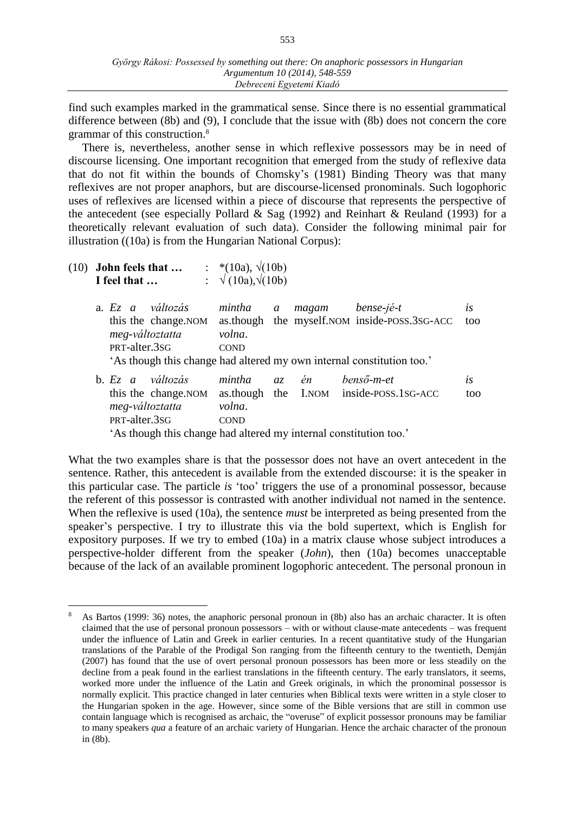find such examples marked in the grammatical sense. Since there is no essential grammatical difference between (8b) and (9), I conclude that the issue with (8b) does not concern the core grammar of this construction.<sup>8</sup>

There is, nevertheless, another sense in which reflexive possessors may be in need of discourse licensing. One important recognition that emerged from the study of reflexive data that do not fit within the bounds of Chomsky's (1981) Binding Theory was that many reflexives are not proper anaphors, but are discourse-licensed pronominals. Such logophoric uses of reflexives are licensed within a piece of discourse that represents the perspective of the antecedent (see especially Pollard & Sag  $(1992)$  and Reinhart & Reuland  $(1993)$  for a theoretically relevant evaluation of such data). Consider the following minimal pair for illustration ((10a) is from the Hungarian National Corpus):

| $(10)$ John feels that $\ldots$<br>I feel that                                  | : *(10a), $\sqrt{(10b)}$<br>$\therefore \sqrt{(10a)}, \sqrt{(10b)}$                                                                                                                                |            |
|---------------------------------------------------------------------------------|----------------------------------------------------------------------------------------------------------------------------------------------------------------------------------------------------|------------|
| a. $E_z$ a változás<br>this the change. NOM<br>meg-változtatta<br>PRT-alter.3sG | mintha<br>bense-jé-t<br>magam<br>$\mathfrak a$<br>as though the myself. NOM inside-POSS. 3SG-ACC<br>volna.<br><b>COND</b><br>'As though this change had altered my own internal constitution too.' | İS.<br>too |
| b. $E_z$ a változás<br>this the change. NOM<br>meg-változtatta<br>PRT-alter.3sG | benső-m-et<br>mintha<br>az én<br>as though the I.NOM inside-POSS.1SG-ACC<br>volna.<br><b>COND</b><br>'As though this change had altered my internal constitution too.'                             | is<br>too  |

What the two examples share is that the possessor does not have an overt antecedent in the sentence. Rather, this antecedent is available from the extended discourse: it is the speaker in this particular case. The particle *is* 'too' triggers the use of a pronominal possessor, because the referent of this possessor is contrasted with another individual not named in the sentence. When the reflexive is used (10a), the sentence *must* be interpreted as being presented from the speaker's perspective. I try to illustrate this via the bold supertext, which is English for expository purposes. If we try to embed (10a) in a matrix clause whose subject introduces a perspective-holder different from the speaker (*John*), then (10a) becomes unacceptable because of the lack of an available prominent logophoric antecedent. The personal pronoun in

 $\overline{a}$ <sup>8</sup> As Bartos (1999: 36) notes, the anaphoric personal pronoun in (8b) also has an archaic character. It is often claimed that the use of personal pronoun possessors – with or without clause-mate antecedents – was frequent under the influence of Latin and Greek in earlier centuries. In a recent quantitative study of the Hungarian translations of the Parable of the Prodigal Son ranging from the fifteenth century to the twentieth, Demján (2007) has found that the use of overt personal pronoun possessors has been more or less steadily on the decline from a peak found in the earliest translations in the fifteenth century. The early translators, it seems, worked more under the influence of the Latin and Greek originals, in which the pronominal possessor is normally explicit. This practice changed in later centuries when Biblical texts were written in a style closer to the Hungarian spoken in the age. However, since some of the Bible versions that are still in common use contain language which is recognised as archaic, the "overuse" of explicit possessor pronouns may be familiar to many speakers *qua* a feature of an archaic variety of Hungarian. Hence the archaic character of the pronoun in (8b).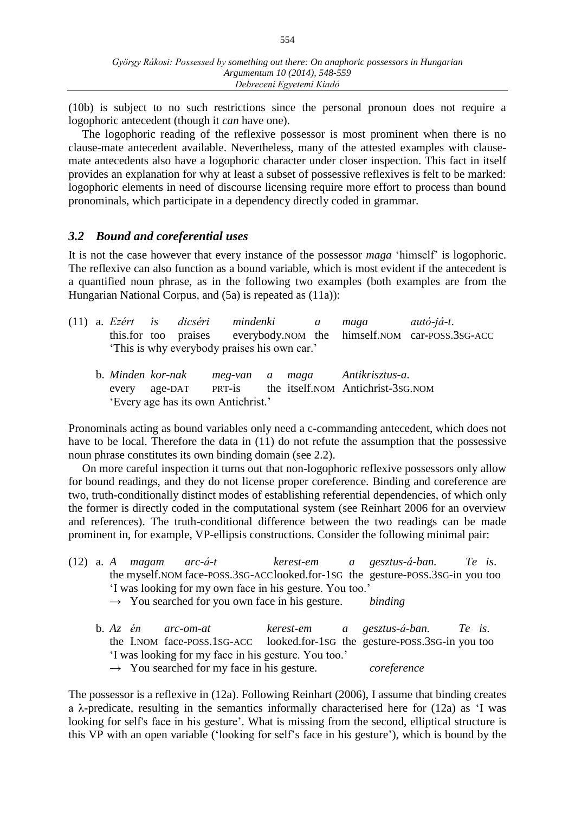(10b) is subject to no such restrictions since the personal pronoun does not require a logophoric antecedent (though it *can* have one).

The logophoric reading of the reflexive possessor is most prominent when there is no clause-mate antecedent available. Nevertheless, many of the attested examples with clausemate antecedents also have a logophoric character under closer inspection. This fact in itself provides an explanation for why at least a subset of possessive reflexives is felt to be marked: logophoric elements in need of discourse licensing require more effort to process than bound pronominals, which participate in a dependency directly coded in grammar.

#### *3.2 Bound and coreferential uses*

It is not the case however that every instance of the possessor *maga* 'himself' is logophoric. The reflexive can also function as a bound variable, which is most evident if the antecedent is a quantified noun phrase, as in the following two examples (both examples are from the Hungarian National Corpus, and (5a) is repeated as (11a)):

|                                             |  |  |  | (11) a. Ezért is dicséri mindenki a |  | maga autó-já-t. |                                                                     |
|---------------------------------------------|--|--|--|-------------------------------------|--|-----------------|---------------------------------------------------------------------|
|                                             |  |  |  |                                     |  |                 | this.for too praises everybody.nom the himself.nom car-poss.3sg-ACC |
| This is why everybody praises his own car.' |  |  |  |                                     |  |                 |                                                                     |

|                                     |  | b. Minden kor-nak | meg-van a maga |  |  | Antikrisztus-a.                   |  |
|-------------------------------------|--|-------------------|----------------|--|--|-----------------------------------|--|
|                                     |  | every age-DAT     | PRT-is         |  |  | the itself.NOM Antichrist-3sG.NOM |  |
| 'Every age has its own Antichrist.' |  |                   |                |  |  |                                   |  |

Pronominals acting as bound variables only need a c-commanding antecedent, which does not have to be local. Therefore the data in (11) do not refute the assumption that the possessive noun phrase constitutes its own binding domain (see 2.2).

On more careful inspection it turns out that non-logophoric reflexive possessors only allow for bound readings, and they do not license proper coreference. Binding and coreference are two, truth-conditionally distinct modes of establishing referential dependencies, of which only the former is directly coded in the computational system (see Reinhart 2006 for an overview and references). The truth-conditional difference between the two readings can be made prominent in, for example, VP-ellipsis constructions. Consider the following minimal pair:

- (12) a. *A magam arc-á-t kerest-em a gesztus-á-ban. Te is*. the myself.NOM face-POSS.3SG-ACClooked.for-1SG the gesture-POSS.3SG-in you too 'I was looking for my own face in his gesture. You too.'
	- → You searched for you own face in his gesture. *binding*

|                                                      |  |  | b. $Az$ én arc-om-at                                                       |  |  | kerest-em a gesztus-á-ban. Te is. |  |  |
|------------------------------------------------------|--|--|----------------------------------------------------------------------------|--|--|-----------------------------------|--|--|
|                                                      |  |  | the I.NOM face-POSS.1SG-ACC looked.for-1SG the gesture-POSS.3SG-in you too |  |  |                                   |  |  |
| 'I was looking for my face in his gesture. You too.' |  |  |                                                                            |  |  |                                   |  |  |
|                                                      |  |  | $\rightarrow$ You searched for my face in his gesture.                     |  |  | coreference                       |  |  |

The possessor is a reflexive in (12a). Following Reinhart (2006), I assume that binding creates a  $\lambda$ -predicate, resulting in the semantics informally characterised here for (12a) as 'I was looking for self's face in his gesture'. What is missing from the second, elliptical structure is this VP with an open variable ('looking for self's face in his gesture'), which is bound by the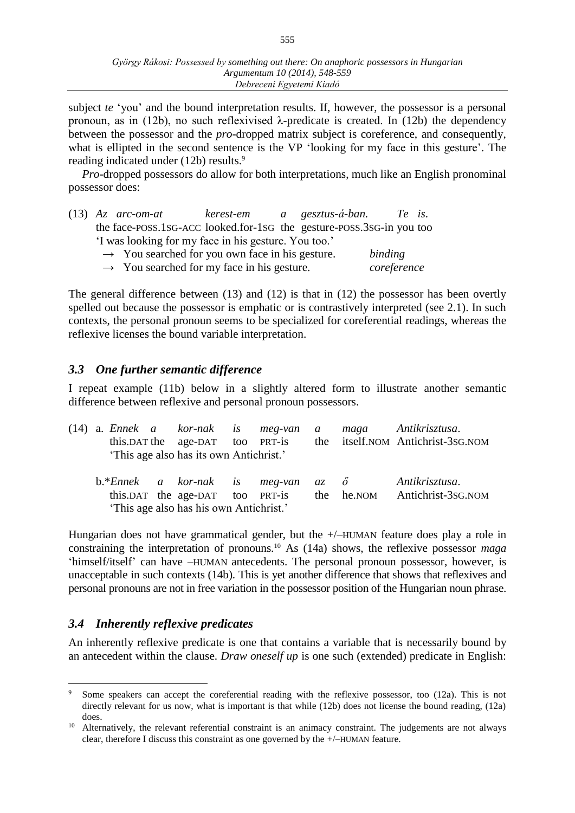subject *te* 'you' and the bound interpretation results. If, however, the possessor is a personal pronoun, as in (12b), no such reflexivised  $\lambda$ -predicate is created. In (12b) the dependency between the possessor and the *pro*-dropped matrix subject is coreference, and consequently, what is ellipted in the second sentence is the VP 'looking for my face in this gesture'. The reading indicated under (12b) results. 9

*Pro*-dropped possessors do allow for both interpretations, much like an English pronominal possessor does:

|                                                      | $(13)$ Az arc-om-at                                        |  |  | kerest-em a gesztus-á-ban.                                           | Te is. |  |  |
|------------------------------------------------------|------------------------------------------------------------|--|--|----------------------------------------------------------------------|--------|--|--|
|                                                      |                                                            |  |  | the face-poss.1sG-ACC looked.for-1sG the gesture-poss.3sG-in you too |        |  |  |
| 'I was looking for my face in his gesture. You too.' |                                                            |  |  |                                                                      |        |  |  |
|                                                      | $\rightarrow$ You searched for you own face in his gesture |  |  | hindina                                                              |        |  |  |

| $\rightarrow$ You searched for you own face in his gesture. | binding     |
|-------------------------------------------------------------|-------------|
| $\rightarrow$ You searched for my face in his gesture.      | coreference |

The general difference between (13) and (12) is that in (12) the possessor has been overtly spelled out because the possessor is emphatic or is contrastively interpreted (see 2.1). In such contexts, the personal pronoun seems to be specialized for coreferential readings, whereas the reflexive licenses the bound variable interpretation.

## *3.3 One further semantic difference*

I repeat example (11b) below in a slightly altered form to illustrate another semantic difference between reflexive and personal pronoun possessors.

| $(14)$ a. Ennek a kor-nak is meg-van a | this.DAT the age-DAT too PRT-is<br>'This age also has its own Antichrist.' |  |  | maga Antikrisztusa.<br>the itself.NOM Antichrist-3sG.NOM |
|----------------------------------------|----------------------------------------------------------------------------|--|--|----------------------------------------------------------|
| $b.*Ennek$ a kor-nak is meg-van az ő   | this.DAT the age-DAT too PRT-is<br>'This age also has his own Antichrist.' |  |  | Antikrisztusa.<br>the he.NOM Antichrist-3sG.NOM          |

Hungarian does not have grammatical gender, but the +/–HUMAN feature does play a role in constraining the interpretation of pronouns.<sup>10</sup> As (14a) shows, the reflexive possessor *maga* 'himself/itself' can have –HUMAN antecedents. The personal pronoun possessor, however, is unacceptable in such contexts (14b). This is yet another difference that shows that reflexives and personal pronouns are not in free variation in the possessor position of the Hungarian noun phrase.

# *3.4 Inherently reflexive predicates*

 $\overline{a}$ 

An inherently reflexive predicate is one that contains a variable that is necessarily bound by an antecedent within the clause. *Draw oneself up* is one such (extended) predicate in English:

Some speakers can accept the coreferential reading with the reflexive possessor, too (12a). This is not directly relevant for us now, what is important is that while (12b) does not license the bound reading, (12a) does.

<sup>&</sup>lt;sup>10</sup> Alternatively, the relevant referential constraint is an animacy constraint. The judgements are not always clear, therefore I discuss this constraint as one governed by the +/–HUMAN feature.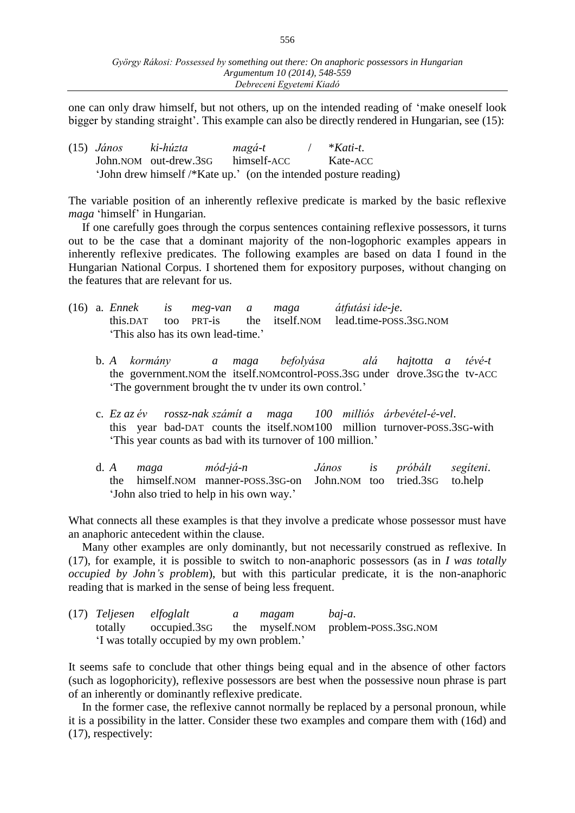one can only draw himself, but not others, up on the intended reading of 'make oneself look bigger by standing straight'. This example can also be directly rendered in Hungarian, see (15):

| $(15)$ János | ki-húzta                                                         | magá-t      | $*$ Kati-t |
|--------------|------------------------------------------------------------------|-------------|------------|
|              | John.NOM out-drew.3sG                                            | himself-ACC | Kate-ACC   |
|              | 'John drew himself /*Kate up.' (on the intended posture reading) |             |            |

The variable position of an inherently reflexive predicate is marked by the basic reflexive *maga* 'himself' in Hungarian.

If one carefully goes through the corpus sentences containing reflexive possessors, it turns out to be the case that a dominant majority of the non-logophoric examples appears in inherently reflexive predicates. The following examples are based on data I found in the Hungarian National Corpus. I shortened them for expository purposes, without changing on the features that are relevant for us.

|  |  | (16) a. Ennek is meg-van a maga    |  | átfutási ide-je.                                          |
|--|--|------------------------------------|--|-----------------------------------------------------------|
|  |  |                                    |  | this.DAT too PRT-is the itself.NOM lead.time-POSS.3SG.NOM |
|  |  | 'This also has its own lead-time.' |  |                                                           |

- b. *A kormány a maga befolyása alá hajtotta a tévé-t* the government.NOM the itself.NOMcontrol-POSS.3SG under drove.3SGthe tv-ACC 'The government brought the tv under its own control.'
- c. *Ez az év rossz-nak számít a maga 100 milliós árbevétel-é-vel*. this year bad-DAT counts the itself.NOM100 million turnover-POSS.3SG-with 'This year counts as bad with its turnover of 100 million.'
- d. *A maga mód-já-n János is próbált segíteni*. the himself.NOM manner-POSS.3SG-on John.NOM too tried.3SG to.help 'John also tried to help in his own way.'

What connects all these examples is that they involve a predicate whose possessor must have an anaphoric antecedent within the clause.

Many other examples are only dominantly, but not necessarily construed as reflexive. In (17), for example, it is possible to switch to non-anaphoric possessors (as in *I was totally occupied by John's problem*), but with this particular predicate, it is the non-anaphoric reading that is marked in the sense of being less frequent.

|  | (17) Teljesen elfoglalt                     | $\alpha$ | magam baj-a. |                                                          |
|--|---------------------------------------------|----------|--------------|----------------------------------------------------------|
|  |                                             |          |              | totally occupied.3sG the myself.nom problem-poss.3sG.nom |
|  | 'I was totally occupied by my own problem.' |          |              |                                                          |

It seems safe to conclude that other things being equal and in the absence of other factors (such as logophoricity), reflexive possessors are best when the possessive noun phrase is part of an inherently or dominantly reflexive predicate.

In the former case, the reflexive cannot normally be replaced by a personal pronoun, while it is a possibility in the latter. Consider these two examples and compare them with (16d) and (17), respectively: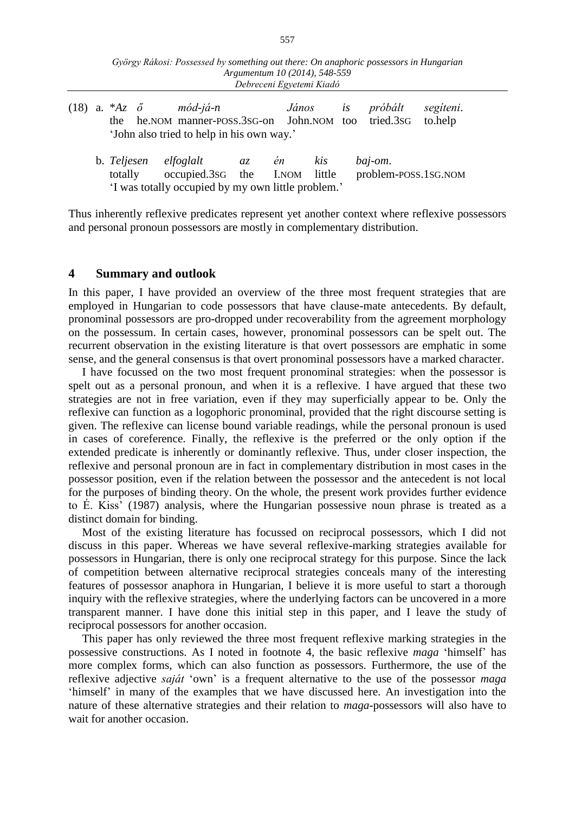| György Rákosi: Possessed by something out there: On anaphoric possessors in Hungarian |
|---------------------------------------------------------------------------------------|
| Argumentum 10 (2014), 548-559                                                         |
| Debreceni Egyetemi Kiadó                                                              |

|                                           |  |  |  | (18) a. $*Az \, \tilde{\sigma}$ mód-já-n                     |  |  | János is próbált segíteni. |  |
|-------------------------------------------|--|--|--|--------------------------------------------------------------|--|--|----------------------------|--|
|                                           |  |  |  | the he.NOM manner-poss.3sG-on John.NOM too tried.3sG to.help |  |  |                            |  |
| 'John also tried to help in his own way.' |  |  |  |                                                              |  |  |                            |  |

b. *Teljesen elfoglalt az én kis baj-om*. totally occupied.3SG the I.NOM little problem-POSS.1SG.NOM 'I was totally occupied by my own little problem.'

Thus inherently reflexive predicates represent yet another context where reflexive possessors and personal pronoun possessors are mostly in complementary distribution.

#### **4 Summary and outlook**

In this paper, I have provided an overview of the three most frequent strategies that are employed in Hungarian to code possessors that have clause-mate antecedents. By default, pronominal possessors are pro-dropped under recoverability from the agreement morphology on the possessum. In certain cases, however, pronominal possessors can be spelt out. The recurrent observation in the existing literature is that overt possessors are emphatic in some sense, and the general consensus is that overt pronominal possessors have a marked character.

I have focussed on the two most frequent pronominal strategies: when the possessor is spelt out as a personal pronoun, and when it is a reflexive. I have argued that these two strategies are not in free variation, even if they may superficially appear to be. Only the reflexive can function as a logophoric pronominal, provided that the right discourse setting is given. The reflexive can license bound variable readings, while the personal pronoun is used in cases of coreference. Finally, the reflexive is the preferred or the only option if the extended predicate is inherently or dominantly reflexive. Thus, under closer inspection, the reflexive and personal pronoun are in fact in complementary distribution in most cases in the possessor position, even if the relation between the possessor and the antecedent is not local for the purposes of binding theory. On the whole, the present work provides further evidence to É. Kiss' (1987) analysis, where the Hungarian possessive noun phrase is treated as a distinct domain for binding.

Most of the existing literature has focussed on reciprocal possessors, which I did not discuss in this paper. Whereas we have several reflexive-marking strategies available for possessors in Hungarian, there is only one reciprocal strategy for this purpose. Since the lack of competition between alternative reciprocal strategies conceals many of the interesting features of possessor anaphora in Hungarian, I believe it is more useful to start a thorough inquiry with the reflexive strategies, where the underlying factors can be uncovered in a more transparent manner. I have done this initial step in this paper, and I leave the study of reciprocal possessors for another occasion.

This paper has only reviewed the three most frequent reflexive marking strategies in the possessive constructions. As I noted in footnote 4, the basic reflexive *maga* 'himself' has more complex forms, which can also function as possessors. Furthermore, the use of the reflexive adjective *saját* 'own' is a frequent alternative to the use of the possessor *maga* 'himself' in many of the examples that we have discussed here. An investigation into the nature of these alternative strategies and their relation to *maga*-possessors will also have to wait for another occasion.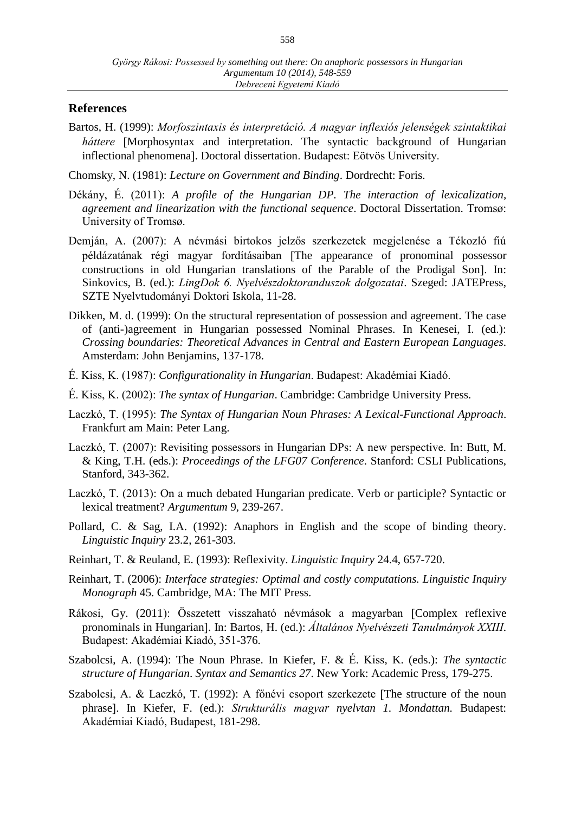#### **References**

Bartos, H. (1999): *Morfoszintaxis és interpretáció. A magyar inflexiós jelenségek szintaktikai háttere* [Morphosyntax and interpretation. The syntactic background of Hungarian inflectional phenomena]. Doctoral dissertation. Budapest: Eötvös University.

Chomsky, N. (1981): *Lecture on Government and Binding*. Dordrecht: Foris.

- Dékány, É. (2011): *A profile of the Hungarian DP. The interaction of lexicalization, agreement and linearization with the functional sequence*. Doctoral Dissertation. Tromsø: University of Tromsø.
- Demján, A. (2007): A névmási birtokos jelzős szerkezetek megjelenése a Tékozló fiú példázatának régi magyar fordításaiban The appearance of pronominal possessor constructions in old Hungarian translations of the Parable of the Prodigal Son]. In: Sinkovics, B. (ed.): *LingDok 6. Nyelvészdoktoranduszok dolgozatai*. Szeged: JATEPress, SZTE Nyelvtudományi Doktori Iskola, 11-28.
- Dikken, M. d. (1999): On the structural representation of possession and agreement. The case of (anti-)agreement in Hungarian possessed Nominal Phrases. In Kenesei, I. (ed.): *Crossing boundaries: Theoretical Advances in Central and Eastern European Languages*. Amsterdam: John Benjamins, 137-178.
- É. Kiss, K. (1987): *Configurationality in Hungarian*. Budapest: Akadémiai Kiadó.
- É. Kiss, K. (2002): *The syntax of Hungarian*. Cambridge: Cambridge University Press.
- Laczkó, T. (1995): *The Syntax of Hungarian Noun Phrases: A Lexical-Functional Approach*. Frankfurt am Main: Peter Lang.
- Laczkó, T. (2007): Revisiting possessors in Hungarian DPs: A new perspective. In: Butt, M. & King, T.H. (eds.): *Proceedings of the LFG07 Conference*. Stanford: CSLI Publications, Stanford, 343-362.
- Laczkó, T. (2013): On a much debated Hungarian predicate. Verb or participle? Syntactic or lexical treatment? *Argumentum* 9, 239-267.
- Pollard, C. & Sag, I.A. (1992): Anaphors in English and the scope of binding theory. *Linguistic Inquiry* 23.2, 261-303.
- Reinhart, T. & Reuland, E. (1993): Reflexivity. *Linguistic Inquiry* 24.4, 657-720.
- Reinhart, T. (2006): *Interface strategies: Optimal and costly computations. Linguistic Inquiry Monograph* 45. Cambridge, MA: The MIT Press.
- Rákosi, Gy. (2011): Összetett visszaható névmások a magyarban Complex reflexive pronominals in Hungarian]. In: Bartos, H. (ed.): **Általános Nyelvészeti Tanulmányok XXIII**. Budapest: Akadémiai Kiadó, 351-376.
- Szabolcsi, A. (1994): The Noun Phrase. In Kiefer, F. & É. Kiss, K. (eds.): *The syntactic structure of Hungarian*. *Syntax and Semantics 27*. New York: Academic Press, 179-275.
- Szabolcsi, A. & Laczkó, T. (1992): A főnévi csoport szerkezete [The structure of the noun phrase. In Kiefer, F. (ed.): *Strukturális magyar nyelvtan 1. Mondattan.* Budapest: Akadémiai Kiadó, Budapest, 181-298.